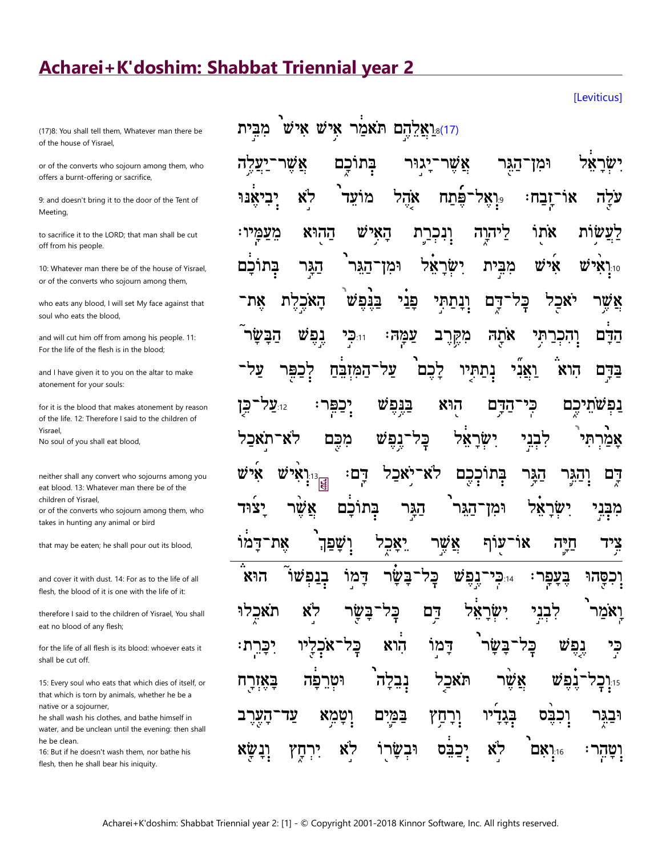## Acharei+K'doshim: Shabbat Triennial year 2

[Leviticus]

(17)8: You shall tell them, Whatever man there be of the house of Yisrael,

or of the converts who sojourn among them, who offers a burnt-offering or sacrifice,

9: and doesn't bring it to the door of the Tent of Meeting,

to sacrifice it to the LORD: that man shall be cut off from his people.

10: Whatever man there be of the house of Yisrael, or of the converts who sojourn among them,

who eats any blood, I will set My face against that soul who eats the blood,

and will cut him off from among his people. 11: For the life of the flesh is in the blood;

and I have given it to you on the altar to make atonement for your souls:

for it is the blood that makes atonement by reason of the life. 12: Therefore I said to the children of Yisrael. No soul of you shall eat blood,

neither shall any convert who sojourns among you eat blood. 13: Whatever man there be of the children of Yisrael,

or of the converts who sojourn among them, who takes in hunting any animal or bird

that may be eaten; he shall pour out its blood,

and cover it with dust. 14: For as to the life of all flesh, the blood of it is one with the life of it:

therefore I said to the children of Yisrael, You shall eat no blood of any flesh;

for the life of all flesh is its blood: whoever eats it shall be cut off.

15: Every soul who eats that which dies of itself, or that which is torn by animals, whether he be a native or a sojourner,

he shall wash his clothes, and bathe himself in water, and be unclean until the evening: then shall he be clean.

16: But if he doesn't wash them, nor bathe his flesh, then he shall bear his iniquity.

| וֹאַלֵהָם תֹּאמַר א <i>ָיִשׁ</i> אִ <i>יש</i> <sup>ּ</sup> מִבְּיִת)                                                                                                                                                               |  |  |  |  |
|------------------------------------------------------------------------------------------------------------------------------------------------------------------------------------------------------------------------------------|--|--|--|--|
| יִשְׂרָאֵל וּמִן־הַגֶּר אֲשֶׁר־יָגוּר בְּתוֹכֶם אֲשֶׁר־יַעֲלֶה                                                                                                                                                                     |  |  |  |  |
| עֹלֶה אוֹ־זֶבַח: <sub>°</sub> וָאָל־פֶּֿתַח אָהֶל מוֹעֵד <sup>י</sup> לָא יְבִיאֶנּוּ                                                                                                                                              |  |  |  |  |
| לַעֲשֶׂוֹת אֹתֻוֹּ לַיּהְוֶה וְנִבְרַתְּ הָאָיִשׁ הַהְוּא מֵעַמְּיוּ:                                                                                                                                                              |  |  |  |  |
| וַיְנָאִ <sup>ָּ</sup> יֹשׁ אָישׁ מִבְּיַת יִשְׂרָאֵל וּמִן־הַגִּר <sup>וֹ</sup> הַגְּר בְּתוֹכָם                                                                                                                                  |  |  |  |  |
| אֲשֶׁר יֹאכַל בְּל <sup>ַ</sup> דְּרֶם וְנָתַתְּי פָּנֵי בַּגָּפֶּשׁ <sup>ּ</sup> הָאֹכֶלֶת אֶת־                                                                                                                                   |  |  |  |  |
| <del>הַבָּ</del> ֫ם וְהִכְרַתִּי אֹתָהּ מִקֶּרֶב צַמְּהּ: הִכְּיַ גֶפֶּשׁ הַבָּשָׂר ֿ                                                                                                                                              |  |  |  |  |
| בַּדְּם הִוא וַאֲנִי נְתַתְּיו לָכֶם עַל־הַמִּזְבֵה לְכַפֶּר עַל־                                                                                                                                                                  |  |  |  |  |
| <b>ַ</b> נְפְּשֹׁתֵיכֶם כְּי־הַדְּם הָוּא בַּגֶּפֶשׁ יְכַפְּר: $\mathbf{z}^{nz}$ עַל־כְּן                                                                                                                                          |  |  |  |  |
| אָמַ <b>֫רְתִי לִבְנֵי יִשְׂרָאֵ֫ל בְּל־נֶפֶ</b> ּשׁ מִכֶּם לֹא־תֹאַבַל                                                                                                                                                            |  |  |  |  |
| דֶם וְהַגֶּר הַגָּר בְּתוֹכְכֶם לֹא־יָאכַל דְם <sup>ָ</sup> : <sub>אֲי</sub> ֹש אִישׁ אִישׁ                                                                                                                                        |  |  |  |  |
| מִבְּנִי יִשְׂרָאֵל וּמִן־הַגִּר <sup>י</sup> הַגְּר בְּתוֹכָם אֲשֶׂר יָצוּד                                                                                                                                                       |  |  |  |  |
| צִיד חַיֶּה אוֹ־עַוֹף אֲשֶׁר יֵאָכְל וְשָׁפַן אֶת־דָמוֹ                                                                                                                                                                            |  |  |  |  |
| וָכִפְּהוּ בֶּעֲפְר <sup>ָ, בְּרְכִי־גֶפֶּשׁ כָּלִ־בָּשָׂר דָּמ<sup>ָן</sup> בְנַפְּשׁוֹ הוּא<sup>ָ</sup></sup>                                                                                                                    |  |  |  |  |
| וָאֹמַר <sup>י</sup> לִבְגֵי יִשְׂרָאֵל דַ <sup>ְ</sup> ם בָּל־בָּשֶׂר לָא תֹאַכְלוּ                                                                                                                                               |  |  |  |  |
| כִּי נֶפֶשׁ בְּל־בָּשָׂר <sup>י</sup> דָמ <sup>ָן</sup> הָוא בְּל־אֹכְלָיו יִכָּרִת:                                                                                                                                               |  |  |  |  |
| ਾ: الْحُدِ دَوْهِ مَعْهَامِ اللهَمْ عَقَدَ مَعْ اللهُمُ مَنْ اللهُ مَعْ اللهُ مَعْ اللهُ عَنْ اللهُ<br>الله عنها الله عليه الله عنها الله عنها الله عنه الله عنها الله عنها الله عنه الله عنه الله عنه الله عنه الله ع<br>الله عنه |  |  |  |  |
| וּבַגְּר וְכִבֶּם בְּגָדִיׁי וְרָחַץ בַּמַּיָם וְטָמְא עַד־הָעֶרֶב                                                                                                                                                                 |  |  |  |  |
| וָטָהְר <sup>ָ:</sup> יִּיְיָאָם <sup>ٛ</sup> לָא <sub>ֹ</sub> יְכַבֵּׂס וּבְשָׂרָוֹ לָא <sub>ֹ</sub> יִרְחֶץ וְנָשֶׂא                                                                                                             |  |  |  |  |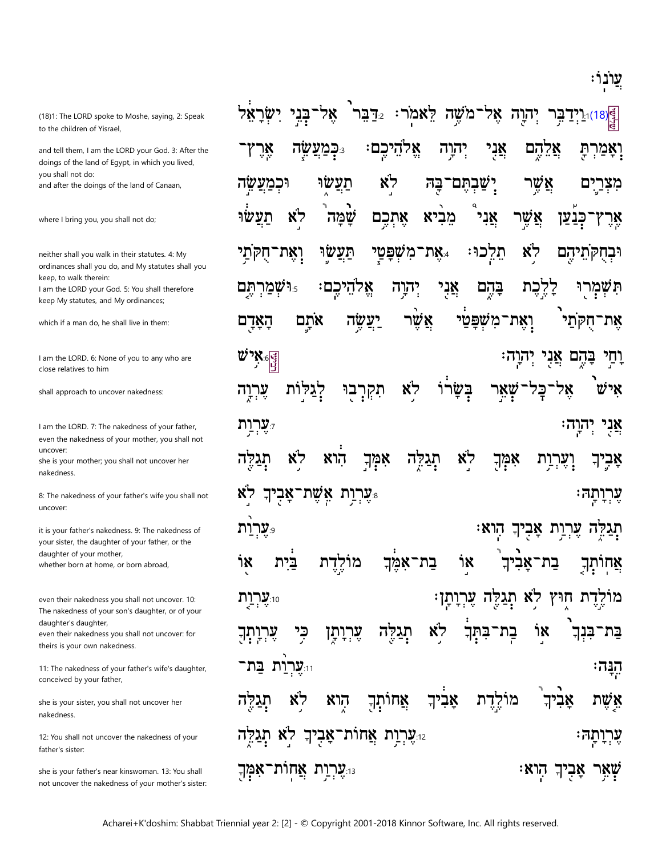ִיַּנוֹנוֹ

(18)1: The LORD spoke to Moshe, saying, 2: Speak to the children of Yisrael,

and tell them, I am the LORD your God. 3: After the doings of the land of Egypt, in which you lived, vou shall not do: and after the doings of the land of Canaan,

where I bring you, you shall not do;

neither shall you walk in their statutes. 4: My ordinances shall you do, and My statutes shall you keep, to walk therein: I am the LORD your God. 5: You shall therefore keep My statutes, and My ordinances;

which if a man do, he shall live in them:

I am the LORD. 6: None of you to any who are close relatives to him

shall approach to uncover nakedness:

I am the LORD. 7: The nakedness of your father, even the nakedness of your mother, you shall not uncover: she is your mother; you shall not uncover her

nakedness.

8: The nakedness of your father's wife you shall not uncover:

it is your father's nakedness. 9: The nakedness of your sister, the daughter of your father, or the daughter of your mother, whether born at home, or born abroad,

even their nakedness you shall not uncover. 10: The nakedness of your son's daughter, or of your daughter's daughter, even their nakedness you shall not uncover: for

theirs is your own nakedness.

11: The nakedness of your father's wife's daughter, conceived by your father,

she is your sister, you shall not uncover her nakedness.

12: You shall not uncover the nakedness of your father's sister:

she is your father's near kinswoman. 13: You shall not uncover the nakedness of your mother's sister:

ְ§ַןְ8)ּיֵנִיְדַבְּר יְהוֶה אֶל־מֹשֶׁה לֵאמֹר: 2ֵדַבֵּר אֶל־בְּנִי יִשְׂרָאֵל אֱלהֵיכֶם אֲנִי אָרֶ ּכִּבְ*יְצַ*ײֲה יִהוָה אֵלֵהֵם **וִאָמַרִתַּ** לא תעשו ישבתם־ וּכמעשה <u>בה</u> אשר מצרים לא מֵבִיא אַשֶׁר תעשו שַׂמַּה אֵתְכֵם אֲנִי כִּבַעַן אַר ץ תַּעֲשׂוּ תֵלֵכוּ לא **וֹאֵת־חֻקִּתַי** את־משפטי. וּבְחָקְתֵיהֵם וּ שְׁמַרְתֶּם לִלְנֹע אֱלהֵיכֶם יהוה אֲנִי בַּהֵם תִּשְׁמְרוּ **וָאֶת־מִשָּׁפַּטַי** אֶת־חֻקְּתַי אתם יעשה אשׁו הַאַרַם  $\ddot{w}$ אֵל $\frac{1}{|y|}$ וְחַי בָּהֶם אֲנִי יְהוָה: ֲבַּשֲׂרוֹ יִצַלּוֹת לא ־כָּל־שָׁאֵר איש עִרְיָה תִקְרָבוּ **יִעֲרִית** אֲנִי יִהְוָה: לא לא הוא אמך תְגַלְּה אמּֽךְ <u>וְעֶרְוַת</u> תְגַלִּה אַבְיךָ **ָעִרְיַת אֵשֶׁת־אֲבְיךְ** לא עָרְנְתָה י**ערות** ּתְגַלֵּה עֻרְוַת אָבִיךְ הִוא בית בַת־אָמֵֽךְ ٦Χ אַחותְךְ ነ፠ מולדת בַת־אַבִיך מוֹלֶדֶת חִוּץ לֹא תְגַלֶּה עֶרְיָתָן: 10:**עֲרִיַת** לא ٦X כְּי ݓݙݓݒݙ עָרְיָתָן תגקה בתך בת<sup>.</sup> בֿע-בִּנְךְ וּי<mark>ָעָרְוַת בַּת־</mark> הַבָּה: אֲחוֹתְךָ אַבִיךְ לא הוא מולדת אביך אשת תְגַדֶּה יַּעָּרְיַת אֲחוֹת־אָבְיךָ לְא<sub>ַ</sub> תְּגַלְֶּה עֶרְרָתָהּ וּ עָרְיַת אֲחות־אָמָךְ <sub>וּ</sub> ּשְׁאֵר אֲבִיךְ הָוא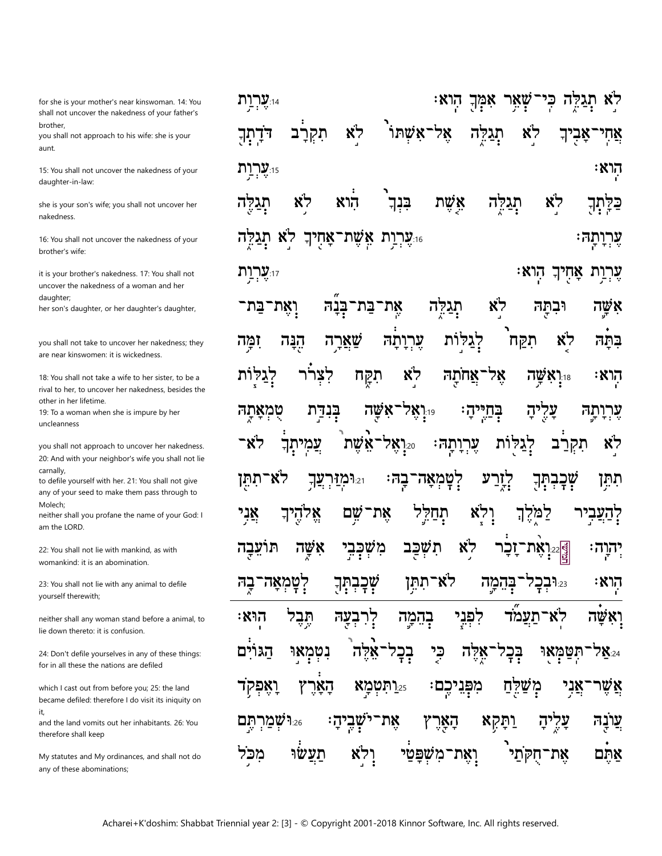for she is your mother's near kinswoman. 14: You shall not uncover the nakedness of your father's brother.

you shall not approach to his wife: she is your aunt.

15: You shall not uncover the nakedness of your daughter-in-law:

she is your son's wife; you shall not uncover her nakedness.

16: You shall not uncover the nakedness of your brother's wife:

it is your brother's nakedness. 17: You shall not uncover the nakedness of a woman and her daughter:

her son's daughter, or her daughter's daughter,

you shall not take to uncover her nakedness; they are near kinswomen: it is wickedness

18: You shall not take a wife to her sister, to be a rival to her, to uncover her nakedness, besides the other in her lifetime.

19: To a woman when she is impure by her uncleanness

you shall not approach to uncover her nakedness. 20: And with your neighbor's wife you shall not lie carnally.

to defile yourself with her. 21: You shall not give any of your seed to make them pass through to Molech:

neither shall you profane the name of your God: I am the LORD.

22: You shall not lie with mankind, as with womankind: it is an abomination.

23: You shall not lie with any animal to defile yourself therewith;

neither shall any woman stand before a animal, to lie down thereto: it is confusion.

24: Don't defile yourselves in any of these things: for in all these the nations are defiled

which I cast out from before you; 25: the land became defiled: therefore I do visit its iniquity on it,

and the land vomits out her inhabitants, 26: You therefore shall keep

My statutes and My ordinances, and shall not do any of these abominations;

ייִצ**ְרְוַת** לא שְאֵר כי קה לא אל־אשתו תִקְרַב לא דרתך תגקה אחי אבי :אָוא 15:**עֲרִית** לא אשת לא תגלה הוא בנך תגלה כּלַתְךָ וערות אַשֵׁת־אַחִיךְ. לא י ה ערותהּ∶ יו**ערות** ּהוא עֲרָוַת אַחִיךְ לא בת־בנה<sup>.</sup> ואת־בּת<sup>.</sup> את תג ובתה אשה לְגַלּוֹת תִקַח לא הנה שַאַרה ערותה ומה בתה לְגַל לצרר תִקַח לא אל ות אחתה הוא שה  $N1_{:18}$ ו**יִי אֵל** בִּנְדַת ראשה ב<u>ּח</u>יִי טמאתה יהי ערותה יה תִקְרַב -87 צַמִיתַך אשת עָרִוְתָהּ׃ לא 7እነ $_{20}$ לְגַלּוֹת לְטְמְאָה־בַהּ לא־תתּן ؚؚۧٛڣڿڿۺٟٙڐ ומ**ַזיר**: לְזָרַע תתַּן עַך תֹּהַלִּל ְּדַעביר שם את־ ולא למקך אַלהֵיךְ אני אשה מִשְׁכָּבֵי לא תועבה תשכב <sub>ڲؗٳ۠</sub>؞ؚڹؚۑٚٮڗۦؖڹڂڔ יהוהי לְטְמְאָה־בָה ゙゚゙゙ゕ゙゠ヸ לא־תתן בהמה הוא 1227:23 בְהָמַה לפני ፡እነገ תבל בעה לר לא־תעמד ואשה כֶּי הגוים נִטְמָאוּ בִכְל איה אלה בְּכָי ֿתִּטַמַּאו 7X:24 25.ותטמא מִפְּגִיכֵם אני ואפקד האר משקח אשו עַרֻ שמרתם  $9.26$ את שביה: הְאָרֶ ותקא עונה תעשו ואת־משפטי 'חקתי מכל את־ אתם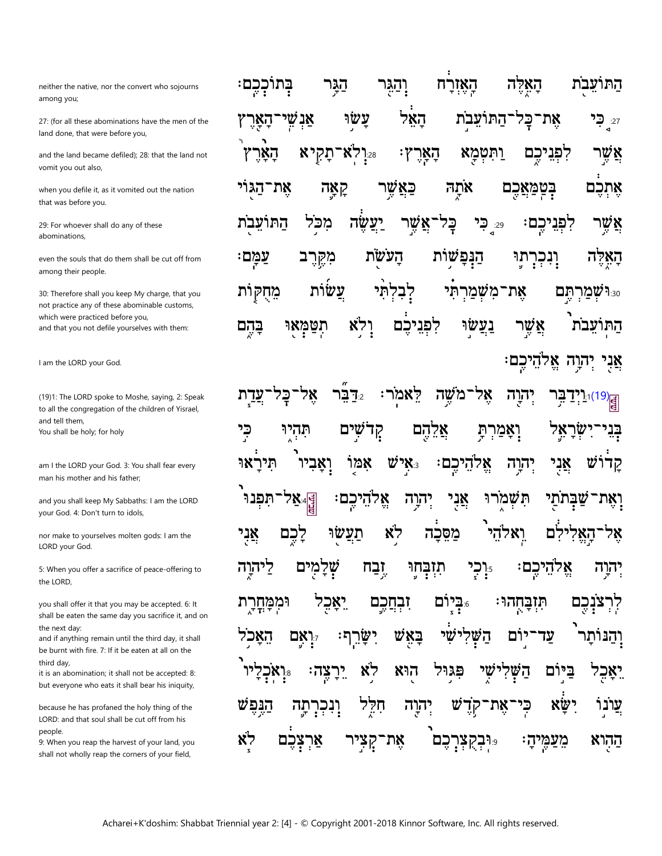neither the native, nor the convert who sojourns among you;

27: (for all these abominations have the men of the land done, that were before you,

and the land became defiled); 28: that the land not vomit you out also,

when you defile it, as it vomited out the nation that was before you.

29: For whoever shall do any of these abominations,

even the souls that do them shall be cut off from among their people.

30: Therefore shall you keep My charge, that you not practice any of these abominable customs, which were practiced before you. and that you not defile yourselves with them:

I am the LORD your God.

(19)1: The LORD spoke to Moshe, saying, 2: Speak to all the congregation of the children of Yisrael, and tell them, You shall be holy; for holy

am I the LORD your God. 3: You shall fear every man his mother and his father;

and you shall keep My Sabbaths: I am the LORD your God. 4: Don't turn to idols,

nor make to yourselves molten gods: I am the LORD your God.

5: When you offer a sacrifice of peace-offering to the LORD,

you shall offer it that you may be accepted. 6: It shall be eaten the same day you sacrifice it, and on the next day:

and if anything remain until the third day, it shall be burnt with fire. 7: If it be eaten at all on the third dav.

it is an abomination; it shall not be accepted: 8: but everyone who eats it shall bear his iniquity,

because he has profaned the holy thing of the LORD: and that soul shall be cut off from his people.

9: When you reap the harvest of your land, you shall not wholly reap the corners of your field,

וְהַגּר התועבת בתוככם: הַגַּר האזרח האלה הָאָל עַשׂוּ אַנִשִּׁי התועבת את־ <sub>27:</sub> כי הַאַרִ **הארץ:** לִפְנִיכֵם 22.[לא־תַקִיא אַשֵׁר וַתְּטִכְא האר אתה את־הגוי **ַּנְטַמְאֲכֶם** קאַה פאשר אתכם 29<sub>:</sub> כֶּל יעשה התועבת מכל ֿאַשֵׁר **קִפְנֵיכֶם:** ⊊ק אַשֵר מִקֶּרֵב הנפשות עמם: העשת האלה תוּ ֶיִנְכְרָ עשות מחקות לב תי את־משׄמר 830 שמרתם לא תטמאי לפניכם נעשו אשר התועבת בהם אֵלהֵיכם: יִהוָה אֲנֵי

 $1.1(19)$ ּלָאמֹר 7:בר ־משה אל יִהְוָה כי תהיו קִדֹשִׁים אֵלֵהֵם בֵנֵי **ָיִאֲמַרִתְּ** ነ፠' אמו  $\mathbf{W}$ יש $\mathbf{x}_{:3}$ אני קדוש תיר וַאַביו אלהיכם: יִהוַה אֲנִי אָל#<br>پا אֵלהֵיכֵם תפנו יהוה תשמרו זתי ואת־ לא לִכֶּם ואלהי אַנִי תעשו מסכה לם אל 17הא ליהוה מים של <u>זָבַח</u> תִזְבְּחֵוּ ר**ָר**ִי אֵקהִיכִם יִהוַה ביום. <u>זִבְחֲכֵם</u> וּמִמְחָרָת יַאַכִל תובחהר: קרצנכם ײַאַשֿ האכל שי השׁ יום עד 7.7 אם ישר והנותו לא הוא שי ביום צה: יר פגול לאַבֵל ראכ⊍ הש **xw,** הַנִּפַש חלל יהוה עֵונו הה' וָנְכְרָ W את כי קד לא צכם קציר את־ כם פּ**וּבקצו**ָ ההרא אר מעמיה: